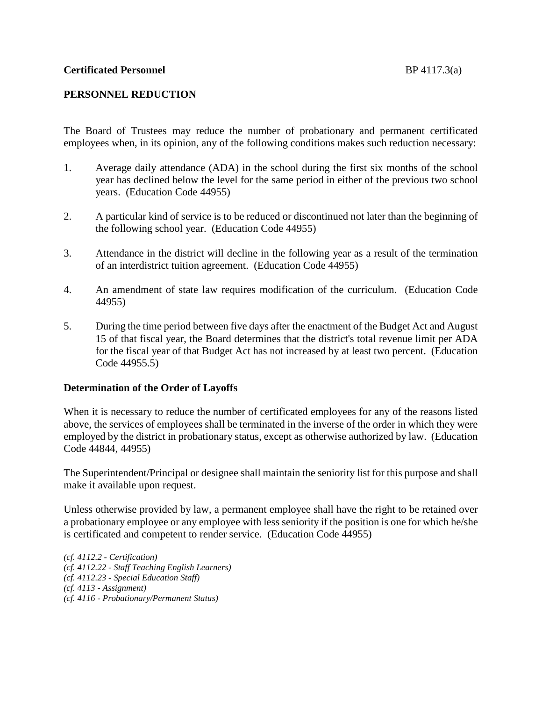# **PERSONNEL REDUCTION**

The Board of Trustees may reduce the number of probationary and permanent certificated employees when, in its opinion, any of the following conditions makes such reduction necessary:

- 1. Average daily attendance (ADA) in the school during the first six months of the school year has declined below the level for the same period in either of the previous two school years. (Education Code 44955)
- 2. A particular kind of service is to be reduced or discontinued not later than the beginning of the following school year. (Education Code 44955)
- 3. Attendance in the district will decline in the following year as a result of the termination of an interdistrict tuition agreement. (Education Code 44955)
- 4. An amendment of state law requires modification of the curriculum. (Education Code 44955)
- 5. During the time period between five days after the enactment of the Budget Act and August 15 of that fiscal year, the Board determines that the district's total revenue limit per ADA for the fiscal year of that Budget Act has not increased by at least two percent. (Education Code 44955.5)

## **Determination of the Order of Layoffs**

When it is necessary to reduce the number of certificated employees for any of the reasons listed above, the services of employees shall be terminated in the inverse of the order in which they were employed by the district in probationary status, except as otherwise authorized by law. (Education Code 44844, 44955)

The Superintendent/Principal or designee shall maintain the seniority list for this purpose and shall make it available upon request.

Unless otherwise provided by law, a permanent employee shall have the right to be retained over a probationary employee or any employee with less seniority if the position is one for which he/she is certificated and competent to render service. (Education Code 44955)

*(cf. 4112.2 - Certification) (cf. 4112.22 - Staff Teaching English Learners) (cf. 4112.23 - Special Education Staff) (cf. 4113 - Assignment) (cf. 4116 - Probationary/Permanent Status)*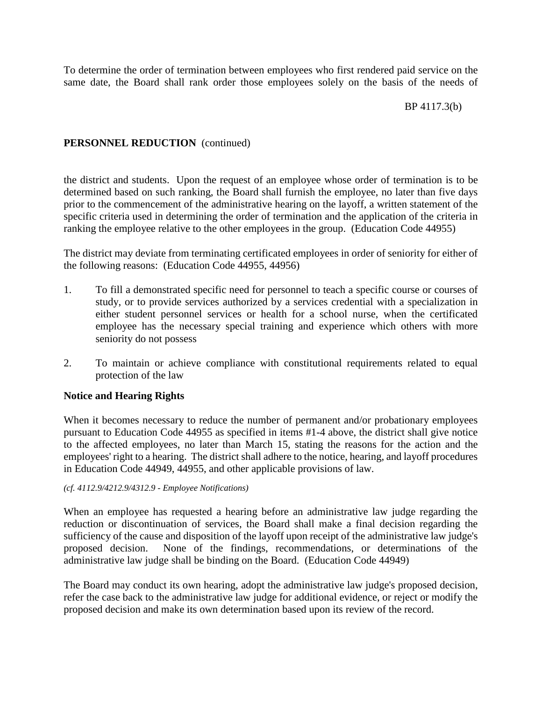To determine the order of termination between employees who first rendered paid service on the same date, the Board shall rank order those employees solely on the basis of the needs of

### BP 4117.3(b)

## **PERSONNEL REDUCTION** (continued)

the district and students. Upon the request of an employee whose order of termination is to be determined based on such ranking, the Board shall furnish the employee, no later than five days prior to the commencement of the administrative hearing on the layoff, a written statement of the specific criteria used in determining the order of termination and the application of the criteria in ranking the employee relative to the other employees in the group. (Education Code 44955)

The district may deviate from terminating certificated employees in order of seniority for either of the following reasons: (Education Code 44955, 44956)

- 1. To fill a demonstrated specific need for personnel to teach a specific course or courses of study, or to provide services authorized by a services credential with a specialization in either student personnel services or health for a school nurse, when the certificated employee has the necessary special training and experience which others with more seniority do not possess
- 2. To maintain or achieve compliance with constitutional requirements related to equal protection of the law

## **Notice and Hearing Rights**

When it becomes necessary to reduce the number of permanent and/or probationary employees pursuant to Education Code 44955 as specified in items #1-4 above, the district shall give notice to the affected employees, no later than March 15, stating the reasons for the action and the employees' right to a hearing. The district shall adhere to the notice, hearing, and layoff procedures in Education Code 44949, 44955, and other applicable provisions of law.

#### *(cf. 4112.9/4212.9/4312.9 - Employee Notifications)*

When an employee has requested a hearing before an administrative law judge regarding the reduction or discontinuation of services, the Board shall make a final decision regarding the sufficiency of the cause and disposition of the layoff upon receipt of the administrative law judge's proposed decision. None of the findings, recommendations, or determinations of the administrative law judge shall be binding on the Board. (Education Code 44949)

The Board may conduct its own hearing, adopt the administrative law judge's proposed decision, refer the case back to the administrative law judge for additional evidence, or reject or modify the proposed decision and make its own determination based upon its review of the record.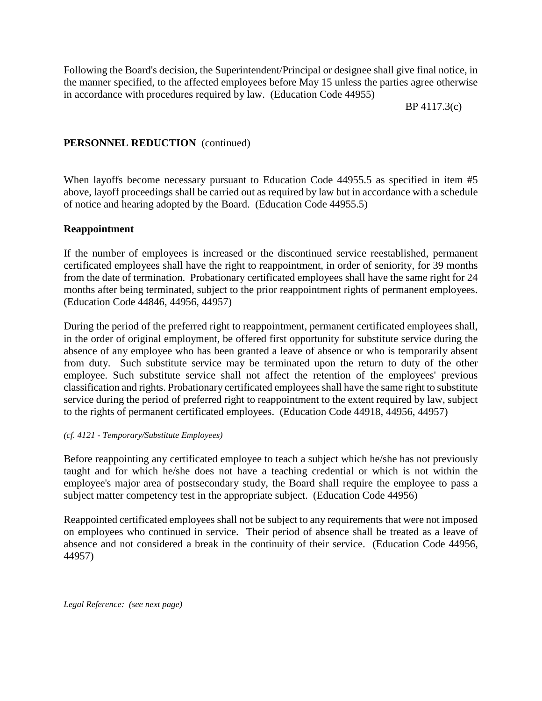Following the Board's decision, the Superintendent/Principal or designee shall give final notice, in the manner specified, to the affected employees before May 15 unless the parties agree otherwise in accordance with procedures required by law. (Education Code 44955)

BP 4117.3(c)

# **PERSONNEL REDUCTION** (continued)

When layoffs become necessary pursuant to Education Code 44955.5 as specified in item #5 above, layoff proceedings shall be carried out as required by law but in accordance with a schedule of notice and hearing adopted by the Board. (Education Code 44955.5)

## **Reappointment**

If the number of employees is increased or the discontinued service reestablished, permanent certificated employees shall have the right to reappointment, in order of seniority, for 39 months from the date of termination. Probationary certificated employees shall have the same right for 24 months after being terminated, subject to the prior reappointment rights of permanent employees. (Education Code 44846, 44956, 44957)

During the period of the preferred right to reappointment, permanent certificated employees shall, in the order of original employment, be offered first opportunity for substitute service during the absence of any employee who has been granted a leave of absence or who is temporarily absent from duty. Such substitute service may be terminated upon the return to duty of the other employee. Such substitute service shall not affect the retention of the employees' previous classification and rights. Probationary certificated employeesshall have the same right to substitute service during the period of preferred right to reappointment to the extent required by law, subject to the rights of permanent certificated employees. (Education Code 44918, 44956, 44957)

## *(cf. 4121 - Temporary/Substitute Employees)*

Before reappointing any certificated employee to teach a subject which he/she has not previously taught and for which he/she does not have a teaching credential or which is not within the employee's major area of postsecondary study, the Board shall require the employee to pass a subject matter competency test in the appropriate subject. (Education Code 44956)

Reappointed certificated employees shall not be subject to any requirements that were not imposed on employees who continued in service. Their period of absence shall be treated as a leave of absence and not considered a break in the continuity of their service. (Education Code 44956, 44957)

*Legal Reference: (see next page)*